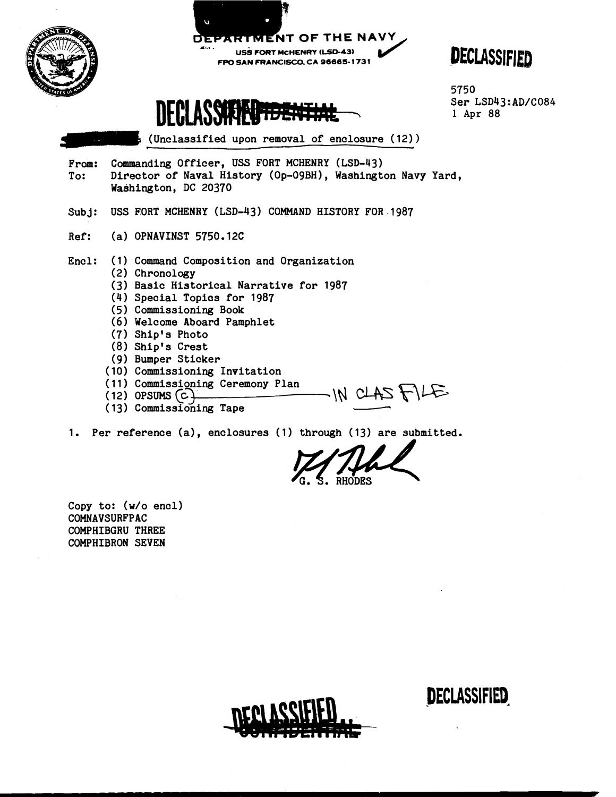

Copy to: (w/o encl) COMNAVSURFPAC COMPHIBGRU THREE COMPHIBRON SEVEN



**DECLASSIFIED**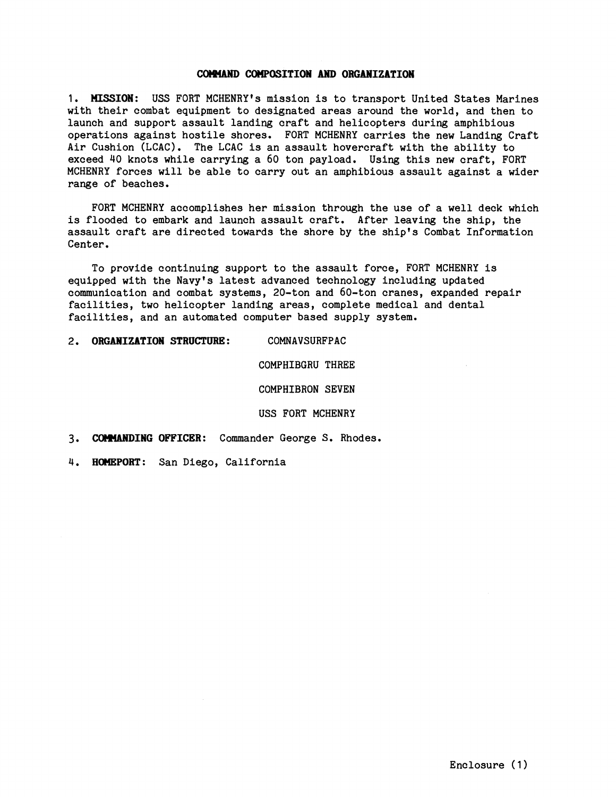## CoWUND **COMeaSITION AND ORGANIZATION**

**1. HISSION:** USS FORT MCHENRY1s mission is to transport United States Marines with their combat equipment to designated areas around the world, and then to launch and support assault landing craft and helicopters during amphibious operations against hostile shores. FORT MCHENRY carries the new Landing Craft Air Cushion (LCAC). The LCAC is an assault hovercraft with the ability to exceed 40 knots while carrying a 60 ton payload. Using this new craft, FORT MCHENRY forces will be able to carry out an amphibious assault against a wider range of beaches.

FORT MCHENRY accomplishes her mission through the use of a well deck which is flooded to embark and launch assault craft. After leaving the ship, the assault craft are directed towards the shore by the ship's Combat Information Center.

To provide continuing support to the assault force, FORT MCHENRY is equipped with the Navy's latest advanced technology including updated communication and combat systems, 20-ton and 60-ton cranes, expanded repair facilities, two helicopter landing areas, complete medical and dental facilities, and an automated computer based supply system.

2. **ORGANIZATION STRUCTURE:** COWAVSURFPAC

COMPHIBGRU THREE

COMPHIBRON SEVEN

USS FORT MCHENRY

**3. COHIANDING OFFICER:** Commander George S. Rhodes.

4. **HOMEPORT:** San Diego, California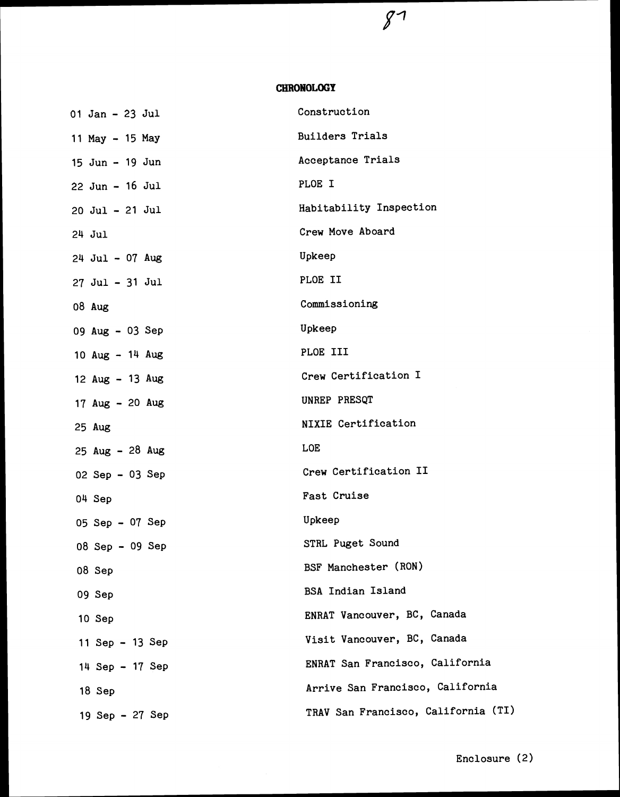## **CERONOLOGY**

 $87$ 

| $01$ Jan - 23 Jul   | Construction                        |
|---------------------|-------------------------------------|
| 11 May - 15 May     | <b>Builders Trials</b>              |
| 15 Jun - 19 Jun     | Acceptance Trials                   |
| $22$ Jun - 16 Jul   | PLOE I                              |
| $20$ Jul - $21$ Jul | Habitability Inspection             |
| $24$ Jul            | Crew Move Aboard                    |
| $24$ Jul - 07 Aug   | Upkeep                              |
| $27$ Jul - $31$ Jul | PLOE II                             |
| 08 Aug              | Commissioning                       |
| 09 Aug $-$ 03 Sep   | Upkeep                              |
| 10 Aug $-14$ Aug    | PLOE III                            |
| 12 $Aug - 13$ $Aug$ | Crew Certification I                |
| 17 Aug $-20$ Aug    | UNREP PRESQT                        |
| $25$ Aug            | <b>NIXIE Certification</b>          |
| 25 Aug $-28$ Aug    | <b>LOE</b>                          |
| 02 Sep $-$ 03 Sep   | Crew Certification II               |
| 04 Sep              | Fast Cruise                         |
| 05 Sep - 07 Sep     | Upkeep                              |
| $08$ Sep - 09 Sep   | STRL Puget Sound                    |
| 08 Sep              | BSF Manchester (RON)                |
| 09 Sep              | <b>BSA Indian Island</b>            |
| 10 Sep              | ENRAT Vancouver, BC, Canada         |
| 11 Sep - 13 Sep     | Visit Vancouver, BC, Canada         |
| 14 Sep - 17 Sep     | ENRAT San Francisco, California     |
| 18 Sep              | Arrive San Francisco, California    |
| 19 Sep - 27 Sep     | TRAV San Francisco, California (TI) |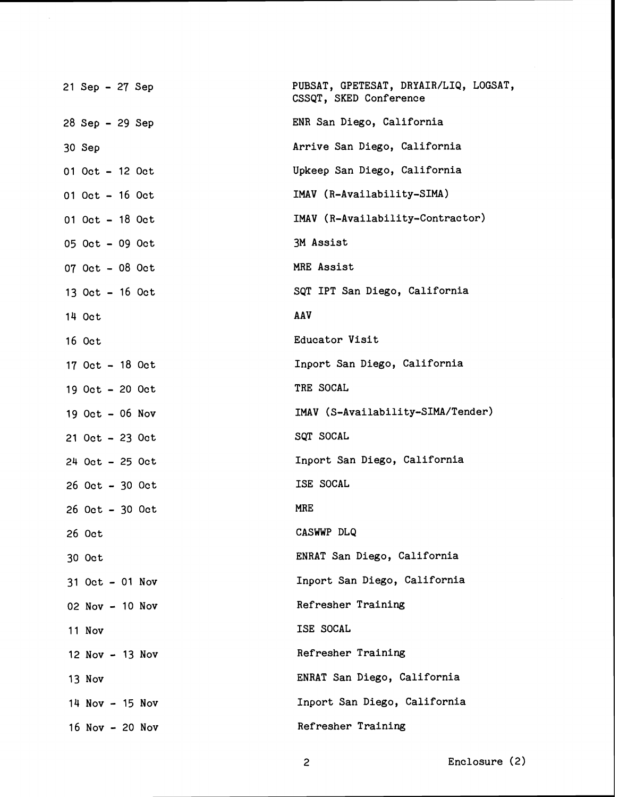| 21 Sep - 27 Sep     | PUBSAT, GPETESAT, DRYAIR/LIQ, LOGSAT,<br>CSSQT, SKED Conference |
|---------------------|-----------------------------------------------------------------|
| $28$ Sep - 29 Sep   | ENR San Diego, California                                       |
| 30 Sep              | Arrive San Diego, California                                    |
| $01$ Oct - 12 Oct   | Upkeep San Diego, California                                    |
| $01$ Oct $-16$ Oct  | IMAV (R-Availability-SIMA)                                      |
| $01$ Oct - 18 Oct   | IMAV (R-Availability-Contractor)                                |
| 05 Oct - 09 Oct     | 3M Assist                                                       |
| $07$ Oct - 08 Oct   | MRE Assist                                                      |
| 13 Oct $-16$ Oct    | SQT IPT San Diego, California                                   |
| 14 Oct              | AAV                                                             |
| 16 Oct              | Educator Visit                                                  |
| $17$ Oct $-18$ Oct  | Inport San Diego, California                                    |
| 19 Oct - 20 Oct     | TRE SOCAL                                                       |
| 19 Oct $-$ 06 Nov   | IMAV (S-Availability-SIMA/Tender)                               |
| $21$ Oct - 23 Oct   | SQT SOCAL                                                       |
| $24$ Oct - 25 Oct   | Inport San Diego, California                                    |
| $26$ Oct $-30$ Oct  | ISE SOCAL                                                       |
| $26$ Oct $-30$ Oct  | MRE                                                             |
| 26 Oct              | CASWWP DLQ                                                      |
| 30 Oct              | ENRAT San Diego, California                                     |
| $31$ Oct $-$ 01 Nov | Inport San Diego, California                                    |
| 02 Nov - 10 Nov     | Refresher Training                                              |
| 11 Nov              | ISE SOCAL                                                       |
| $12$ Nov $-13$ Nov  | Refresher Training                                              |
| 13 Nov              | ENRAT San Diego, California                                     |
| 14 Nov - 15 Nov     | Inport San Diego, California                                    |
| 16 Nov $-$ 20 Nov   | Refresher Training                                              |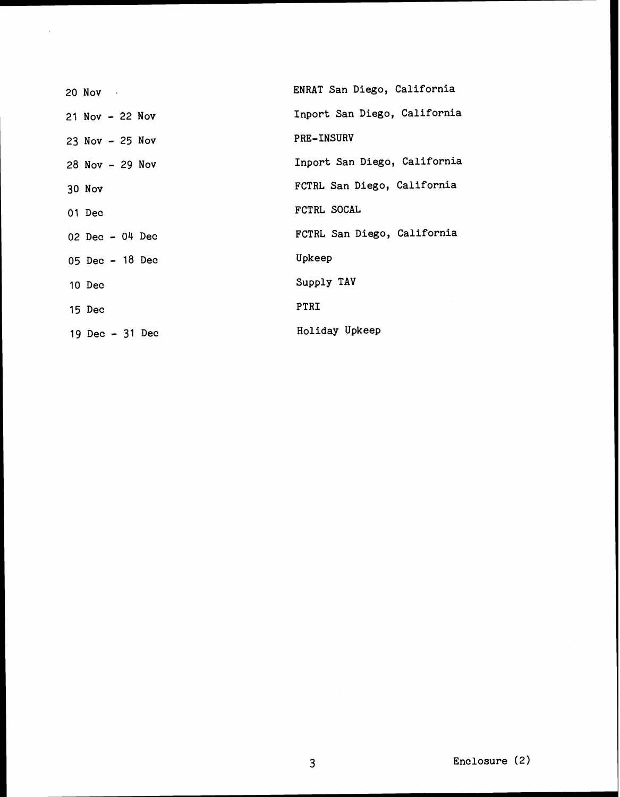| $20$ Nov $\sim$     | ENRAT San Diego, California  |
|---------------------|------------------------------|
| $21$ Nov $-22$ Nov  | Inport San Diego, California |
| $23$ Nov - $25$ Nov | <b>PRE-INSURV</b>            |
| 28 Nov - 29 Nov     | Inport San Diego, California |
| 30 Nov              | FCTRL San Diego, California  |
| 01 Dec              | FCTRL SOCAL                  |
| 02 Dec $-04$ Dec    | FCTRL San Diego, California  |
| 05 Dec $-18$ Dec    | Upkeep                       |
| 10 Dec              | Supply TAV                   |
| 15 Dec              | PTRI                         |
| 19 Dec $-31$ Dec    | Holiday Upkeep               |

 $\sim$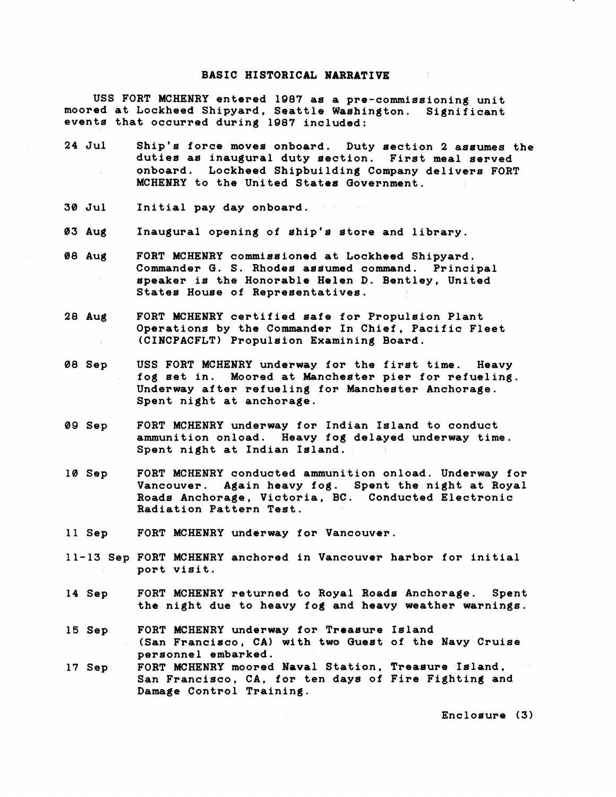## **BASIC HISTORICAL NARRATIVE**

**USS FORT MCHENRY entered 1987 as a pre-commissioning unit moored at Lockheed Shipyard, Seattle Washington. Significant events that occurred during 1987 included:** 

- **24 Jul Ship's force moves onboard. Duty section 2 assumes the duties as inaugural duty section. First meal served onboard. Lockheed Shipbuilding Company delivers FORT MCHENRY to the United States Government.**
- **30 Jul Initial pay day onboard.**
- **03 Aug Inaugural opening of ship's store and library.**
- **08 Aug FORT MCHENRY commissioned at Lockheed Shipyard. Commander G. S. Rhodes assumed command. Principal speaker is the Honorable Helen D. Bentley, United States House of Representatives.**
- **28 Aug FORT MCHENRY certifidd safe fos Propulsion Plant Operations by the Conmander In Chief, Pacific Fleet (CINCPACFLT) Propulsion Examining Board.**
- **08 Sep USS FORT MCHENRY underway for the first time. Heavy fog set in. Moored at Mancheater pier for refueling. Underway after refueling for Manchester Anchorage. Spent night at anchorage.**
- **09 Sep FORT MCHENRY underway for Indian Island to conduct ammunition onload. Heavy fog delayed underway time. Spent night at Indian Island.**
- **10 Sep FORT MCHENRY conducted ammunition onload. Underway for Vancouver. Again heavy fog. Spent the night at Royal Roads Anchorage, Victoria, BC. Conducted Electronic Radiation Pattern Test.**
- **11 Sep FORT MCHENRY underway for Vancouver.**
- **11-13 Sep FORT MCHENRY anchored in Vancouver harbor for initial port visit.**
- **14 Sep FORT MCHENRY returned to Royal Roads Anchorage. Spent the night due to heavy fog and heavy weather warnings.**
- **15 Sep FORT MCHENRY underway for Treasure Island (San Francisco, CAI with two Guest of the Navy Cruise personnel embarked.**
- **17 Sep FORT MCHENRY moored Naval Station, Treasure Island, San Francisco, CA, for ten days of Fire Fighting and Damage Control Training.**

**Enclosure (3)**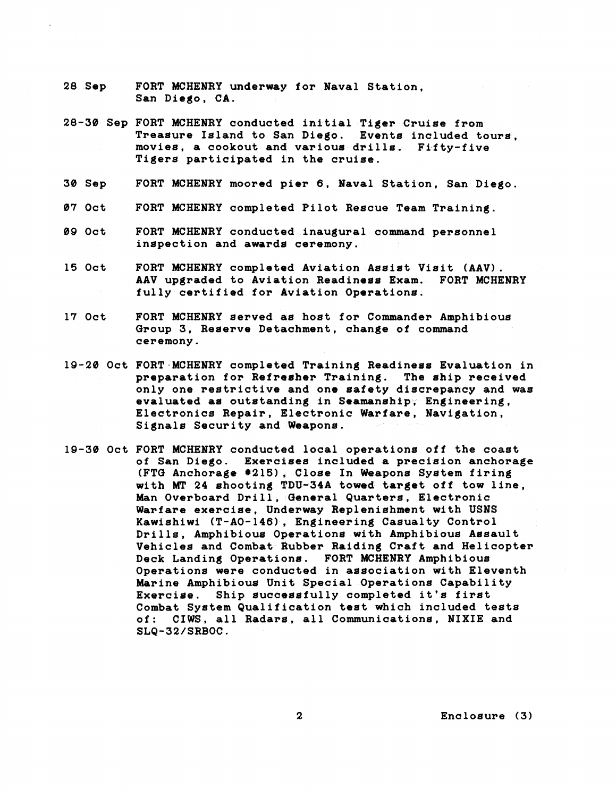- **28 Sep**  FORT MCHENRY underway for Naval Station, **San Diego, CA.**
- **28-30 Sep FORT MCHENRY conducted initial Tiger Cruise from Treasure Island to San Diego. Events included tours, movies, a cookout and various drills. Fifty-five Tigers participated in the cruise.**
- **30 Sep FORT MCHENRY moored pier 6, Naval Station, San Diego.**
- **07 Oct FORT MCHENRY completed Pilot Rescue Team Training.**
- **09 Oct FORT MCHENRY conducted inaugural command personnel inspection and awards ceremony.**
- **15 Oct FORT MCHENRY completed Aviation Assist Visit (AAV). AAV upgraded to Aviation Readiness Exam. FORT MCHENRY fully certified for kviation Operations.**
- **17 Oct FORT MCHENRY served 4s host for Commander Amphibious Group 3, Reserve Detachment, change of command ceremony.**
- **19-20 Oct FORT-MCHENRY completad Training Readiness Evaluation in preparation for Refresher Training. The ship received only one restrictive and one safety discrepancy and was evaluated as outstanding in Seamanship, Engineering, Electronics Repair, Electronic Warfare, Navigation, Signals Security and Weapona.**
- **19-38 Oct FORT MCHENRY conducted local operations off the coast of San Diego. Exercises included a precision anchorage (FTQ Anchorage #215), Close In Weapona System firing**  with MT 24 shooting TDU-34A towed target off tow line, **Man Overboard Drill, Qeneral Quarters, Electronic Warfare exercise, Underway Replenishment with USNS**  Kawishiwi (T-AO-146), Engineering Casualty Control **Drills, Amphibious Operations with Amphibious Assault Vehicles and Combat Rubber Raiding Craft and Helicopter Deck Landing Operations. FORT MCHENRY Amphibioue Operations were conducted in association with Eleventh Marine Amphibious Unit Special Operations Capability Exercise. Ship successfully completed it's first Combat System Qualification test which included tests**  of: CIWS, all Radars, all Communications, NIXIE and **SLQ-32/SRBOC.**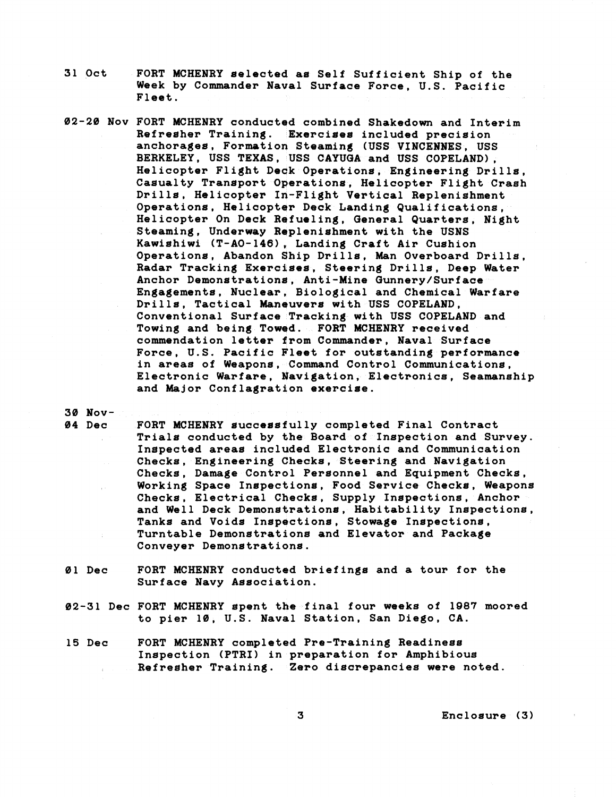- **31 Oct FORT MCHENRY selected as Self Sufficient Ship of the Week by Commander Naual Surface Force, U.S. Pacific Fleet.**
- **02-28 Nov FORT MCHENRY conductqd combined Shakedown and Interim Refresher Training. Exercises included precision anchorages, Formation Steaming (USS VINCEWNES, USS BERKELEY, USS TEXAS, USS CAYUGA and USS COPELAND), Helicopter Flight Dsqk Operations, Engineering Drills, Casualty Tranaport Onerations, Helicopter Flight Crash**  Drills, Helicopter In-Flight Vertical Replenishment Operations, Helicopter Deck Landing Qualifications, **Helicopter On Deck Refueling, General Quarters, Night**  Steaming, Underway Replenishment with the USNS Kawishiwi (T-AO-146), Landing Craft Air Cushion **Operations, Abandon Ship Drills, hkan Overboard Drills, Radar Tracking Exercises, Steering Drills, Deep Water Anchor Demonstrations, Anti-Mine Gunnery/Surface Engagements, Nuclear, Biological and Chemical Warfare Drills, Tactical Maneuvers with USS COPELAND, Conventional Surface Tracking with USS COPELAND and Towing and being Towed. FORT MCHENRY received commendation letter from Commander, Naval Surface Force, U.S. Pacific Fleet for outstanding performance in areas of Weapons, Command Control Communications, Electronic Warfare, Navigation, Electronice, Seamanship and Major Conflagration exercise.**

**30 Nov-**

FORT MCHENRY successfully completed Final Contract **Triala conducted by the Board of Inspection and Survey. Inspected areas included Electronic and Communication Checks, Engineering Checks, Steering and Navigation Checks, Damage Control Personnel and Equipment Checks, Working Space Inspections, Food Service Checks, Weapons Checks, Electrical Checks, Supply Inspections, Anchor and Well Deck Demonstrationa, Habitability Inspections, Tanks and Voids Inspections, Stowage Inspections, Turntable Demonstrations and Elevator and Package Conveyer Demonstrations.** 

- **01 Dec FORT MCHENRY conducted briefings and a tour for the Surface Navy Association.**
- **82-31 Dec FORT MCHENRY spent the final four weeks of 1987 moored to pier 10, U.S. Naval Station, San Diego, CA.**
- **15 Dec FORT MCHENRY completed Pre-Training Readiness Inspection (PTRI) in preparation for Amphibious Refresher Training. Zero discrepancies were noted.**

**3 Enclosure (3)**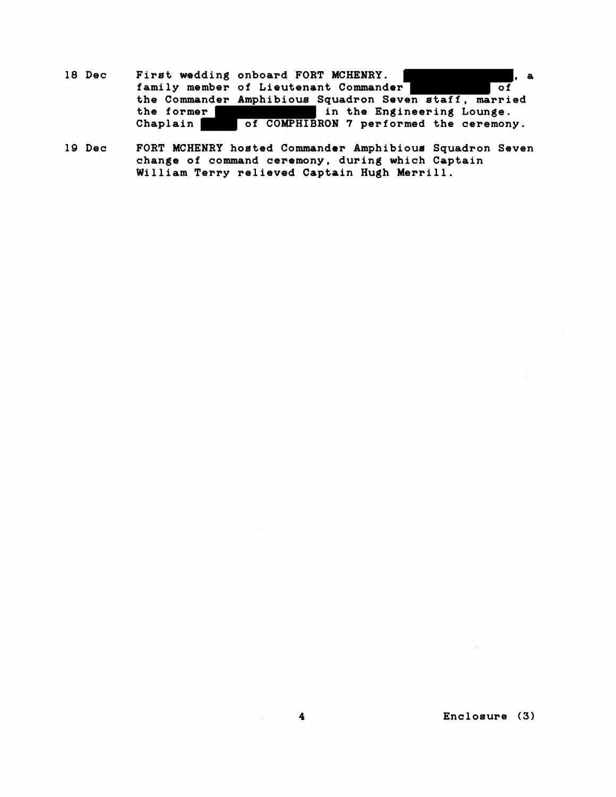- 18 Dec First wedding onboard FORT MCHENRY.<br> **18 Dec** Finally member of Lieutenant Commander of of family member of Lieutenant Commander<sup>-</sup> the Commander Amphibious Squadron Seven staff, married<br>the former<br>Chaplain of COMPHIBRON 7 performed the ceremony. in the Engineering Lounge. of COMPHIBRON 7 performed the ceremony.
- **19 Dec FORT MCHENRY hosted Commander Amphibious Squadron Seven change of command cememony, during which Captain William Terry relieved Captain Hugh Merrill.**